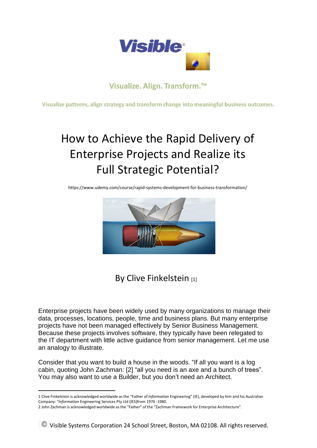

### Visualize. Align. Transform.™

Visualize patterns, align strategy and transform change into meaningful business outcomes.

# How to Achieve the Rapid Delivery of Enterprise Projects and Realize its Full Strategic Potential?

https://www.udemy.com/course/rapid-systems-development-for-business-transformation/



## By Clive Finkelstein [\[1\]](#page-0-0)

Enterprise projects have been widely used by many organizations to manage their data, processes, locations, people, time and business plans. But many enterprise projects have not been managed effectively by Senior Business Management. Because these projects involves software, they typically have been relegated to the IT department with little active guidance from senior management. Let me use an analogy to illustrate.

Consider that you want to build a house in the woods. "If all you want is a log cabin, quoting John Zachman: [\[2\]](#page-0-1) "all you need is an axe and a bunch of trees". You may also want to use a Builder, but you don't need an Architect.

<span id="page-0-0"></span>1 Clive Finkelstein is acknowledged worldwide as the "Father of *Information* Engineering" (IE), developed by him and his Australian Company: "*Information* Engineering Services Pty Ltd (IES)from 1976 -1980.

<span id="page-0-1"></span><sup>2</sup> John Zachman is acknowledged worldwide as the "Father" of the "Zachman Framework for Enterprise Architecture".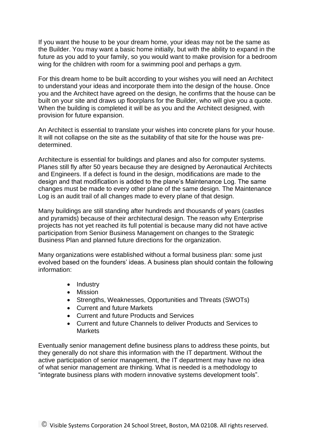If you want the house to be your dream home, your ideas may not be the same as the Builder. You may want a basic home initially, but with the ability to expand in the future as you add to your family, so you would want to make provision for a bedroom wing for the children with room for a swimming pool and perhaps a gym.

For this dream home to be built according to your wishes you will need an Architect to understand your ideas and incorporate them into the design of the house. Once you and the Architect have agreed on the design, he confirms that the house can be built on your site and draws up floorplans for the Builder, who will give you a quote. When the building is completed it will be as you and the Architect designed, with provision for future expansion.

An Architect is essential to translate your wishes into concrete plans for your house. It will not collapse on the site as the suitability of that site for the house was predetermined.

Architecture is essential for buildings and planes and also for computer systems. Planes still fly after 50 years because they are designed by Aeronautical Architects and Engineers. If a defect is found in the design, modifications are made to the design and that modification is added to the plane's Maintenance Log. The same changes must be made to every other plane of the same design. The Maintenance Log is an audit trail of all changes made to every plane of that design.

Many buildings are still standing after hundreds and thousands of years (castles and pyramids) because of their architectural design. The reason why Enterprise projects has not yet reached its full potential is because many did not have active participation from Senior Business Management on changes to the Strategic Business Plan and planned future directions for the organization.

Many organizations were established without a formal business plan: some just evolved based on the founders' ideas. A business plan should contain the following information:

- Industry
- Mission
- Strengths, Weaknesses, Opportunities and Threats (SWOTs)
- Current and future Markets
- Current and future Products and Services
- Current and future Channels to deliver Products and Services to **Markets**

Eventually senior management define business plans to address these points, but they generally do not share this information with the IT department. Without the active participation of senior management, the IT department may have no idea of what senior management are thinking. What is needed is a methodology to "integrate business plans with modern innovative systems development tools".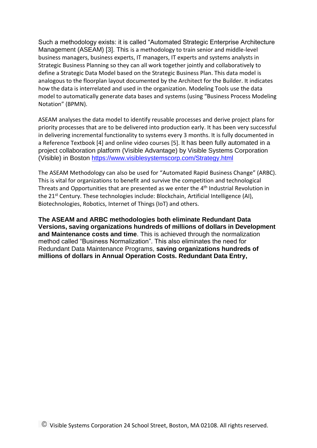<span id="page-2-0"></span>Such a methodology exists: it is called "Automated Strategic Enterprise Architecture Management (ASEAM) [\[3\]](#page-2-0). This is a methodology to train senior and middle-level business managers, business experts, IT managers, IT experts and systems analysts in Strategic Business Planning so they can all work together jointly and collaboratively to define a Strategic Data Model based on the Strategic Business Plan. This data model is analogous to the floorplan layout documented by the Architect for the Builder. It indicates how the data is interrelated and used in the organization. Modeling Tools use the data model to automatically generate data bases and systems (using "Business Process Modeling Notation" (BPMN).

ASEAM analyses the data model to identify reusable processes and derive project plans for priority processes that are to be delivered into production early. It has been very successful in delivering incremental functionality to systems every 3 months. It is fully documented in a Reference Textbook [\[4\]](#page-2-0) and online video courses [\[5\]](#page-2-0). It has been fully automated in a project collaboration platform (Visible Advantage) by Visible Systems Corporation (Visible) in Boston<https://www.visiblesystemscorp.com/Strategy.html>

The ASEAM Methodology can also be used for "Automated Rapid Business Change" (ARBC). This is vital for organizations to benefit and survive the competition and technological Threats and Opportunities that are presented as we enter the 4<sup>th</sup> Industrial Revolution in the 21<sup>st</sup> Century. These technologies include: Blockchain, Artificial Intelligence (AI), Biotechnologies, Robotics, Internet of Things (IoT) and others.

**The ASEAM and ARBC methodologies both eliminate Redundant Data Versions, saving organizations hundreds of millions of dollars in Development and Maintenance costs and time**. This is achieved through the normalization method called "Business Normalization". This also eliminates the need for Redundant Data Maintenance Programs, **saving organizations hundreds of millions of dollars in Annual Operation Costs. Redundant Data Entry,**